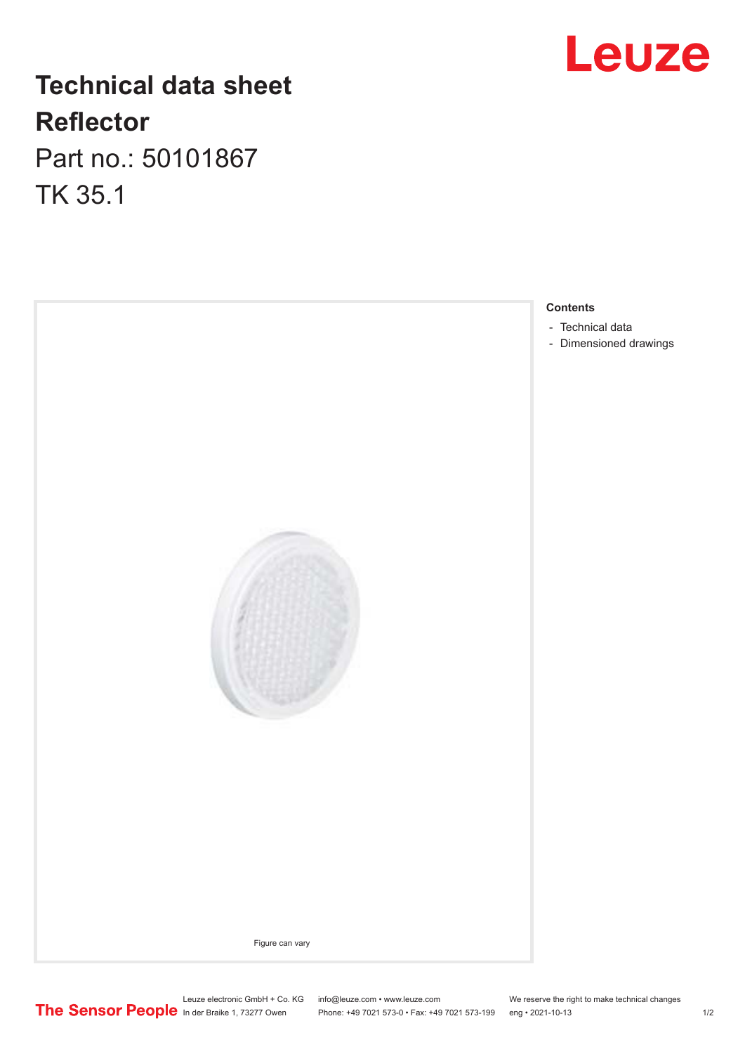# Leuze

## **Technical data sheet Reflector**

Part no.: 50101867 TK 35.1



Leuze electronic GmbH + Co. KG info@leuze.com • www.leuze.com We reserve the right to make technical changes In der Braike 1, 73277 Owen Phone: +49 7021 573-0 • Fax: +49 7021 573-199 eng • 2021-10-13